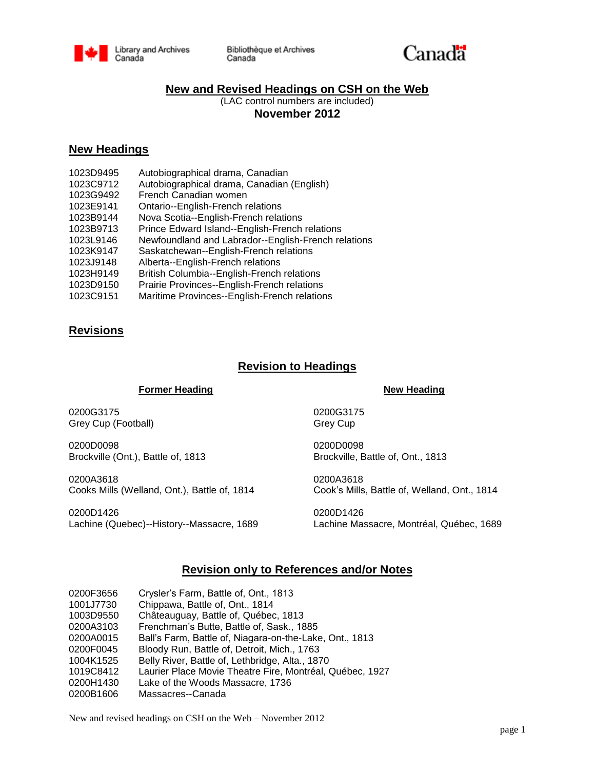

Bibliothèque et Archives Canada



## **New and Revised Headings on CSH on the Web**

(LAC control numbers are included) **November 2012**

## **New Headings**

1023D9495 Autobiographical drama, Canadian 1023C9712 Autobiographical drama, Canadian (English) 1023G9492 French Canadian women 1023E9141 Ontario--English-French relations 1023B9144 Nova Scotia--English-French relations 1023B9713 Prince Edward Island--English-French relations 1023L9146 Newfoundland and Labrador--English-French relations 1023K9147 Saskatchewan--English-French relations 1023J9148 Alberta--English-French relations 1023H9149 British Columbia--English-French relations 1023D9150 Prairie Provinces--English-French relations 1023C9151 Maritime Provinces--English-French relations

# **Revisions**

# **Revision to Headings**

### **Former Heading New Heading**

0200G3175 0200G3175 Grey Cup (Football) Grey Cup

0200D0098 0200D0098 Brockville (Ont.), Battle of, 1813 Brockville, Battle of, Ont., 1813

0200A3618 0200A3618 Cooks Mills (Welland, Ont.), Battle of, 1814 Cook's Mills, Battle of, Welland, Ont., 1814

0200D1426 0200D1426 Lachine (Quebec)--History--Massacre, 1689 Lachine Massacre, Montréal, Québec, 1689

## **Revision only to References and/or Notes**

| 0200F3656 | Crysler's Farm, Battle of, Ont., 1813                    |
|-----------|----------------------------------------------------------|
| 1001J7730 | Chippawa, Battle of, Ont., 1814                          |
| 1003D9550 | Châteauguay, Battle of, Québec, 1813                     |
| 0200A3103 | Frenchman's Butte, Battle of, Sask., 1885                |
| 0200A0015 | Ball's Farm, Battle of, Niagara-on-the-Lake, Ont., 1813  |
| 0200F0045 | Bloody Run, Battle of, Detroit, Mich., 1763              |
| 1004K1525 | Belly River, Battle of, Lethbridge, Alta., 1870          |
| 1019C8412 | Laurier Place Movie Theatre Fire, Montréal, Québec, 1927 |
| 0200H1430 | Lake of the Woods Massacre, 1736                         |
| 0200B1606 | Massacres--Canada                                        |

New and revised headings on CSH on the Web – November 2012